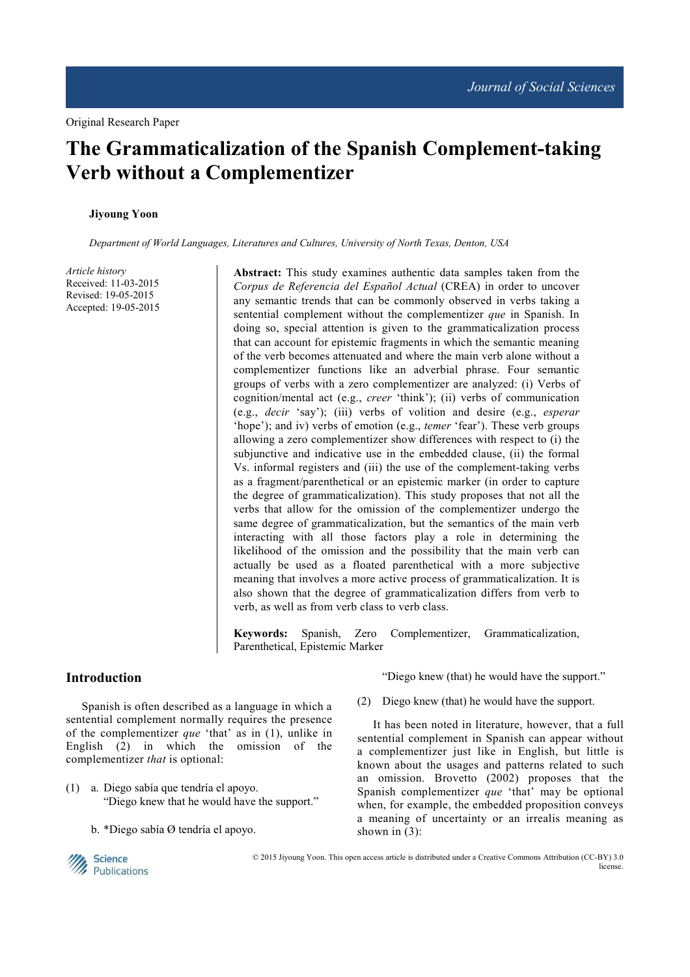# **The Grammaticalization of the Spanish Complement-taking Verb without a Complementizer**

#### **Jiyoung Yoon**

*Department of World Languages, Literatures and Cultures, University of North Texas, Denton, USA* 

*Article history*  Received: 11-03-2015 Revised: 19-05-2015 Accepted: 19-05-2015

**Abstract:** This study examines authentic data samples taken from the *Corpus de Referencia del Español Actual* (CREA) in order to uncover any semantic trends that can be commonly observed in verbs taking a sentential complement without the complementizer *que* in Spanish. In doing so, special attention is given to the grammaticalization process that can account for epistemic fragments in which the semantic meaning of the verb becomes attenuated and where the main verb alone without a complementizer functions like an adverbial phrase. Four semantic groups of verbs with a zero complementizer are analyzed: (i) Verbs of cognition/mental act (e.g., *creer* 'think'); (ii) verbs of communication (e.g., *decir* 'say'); (iii) verbs of volition and desire (e.g., *esperar* 'hope'); and iv) verbs of emotion (e.g., *temer* 'fear'). These verb groups allowing a zero complementizer show differences with respect to (i) the subjunctive and indicative use in the embedded clause, (ii) the formal Vs. informal registers and (iii) the use of the complement-taking verbs as a fragment/parenthetical or an epistemic marker (in order to capture the degree of grammaticalization). This study proposes that not all the verbs that allow for the omission of the complementizer undergo the same degree of grammaticalization, but the semantics of the main verb interacting with all those factors play a role in determining the likelihood of the omission and the possibility that the main verb can actually be used as a floated parenthetical with a more subjective meaning that involves a more active process of grammaticalization. It is also shown that the degree of grammaticalization differs from verb to verb, as well as from verb class to verb class.

**Keywords:** Spanish, Zero Complementizer, Grammaticalization, Parenthetical, Epistemic Marker

## **Introduction**

Spanish is often described as a language in which a sentential complement normally requires the presence of the complementizer *que* 'that' as in (1), unlike in English (2) in which the omission of the complementizer *that* is optional:

- (1) a. Diego sabía que tendría el apoyo. "Diego knew that he would have the support."
	- b. \*Diego sabía Ø tendría el apoyo.

"Diego knew (that) he would have the support."

(2) Diego knew (that) he would have the support.

It has been noted in literature, however, that a full sentential complement in Spanish can appear without a complementizer just like in English, but little is known about the usages and patterns related to such an omission. Brovetto (2002) proposes that the Spanish complementizer *que* 'that' may be optional when, for example, the embedded proposition conveys a meaning of uncertainty or an irrealis meaning as shown in (3):



 © 2015 Jiyoung Yoon. This open access article is distributed under a Creative Commons Attribution (CC-BY) 3.0 license.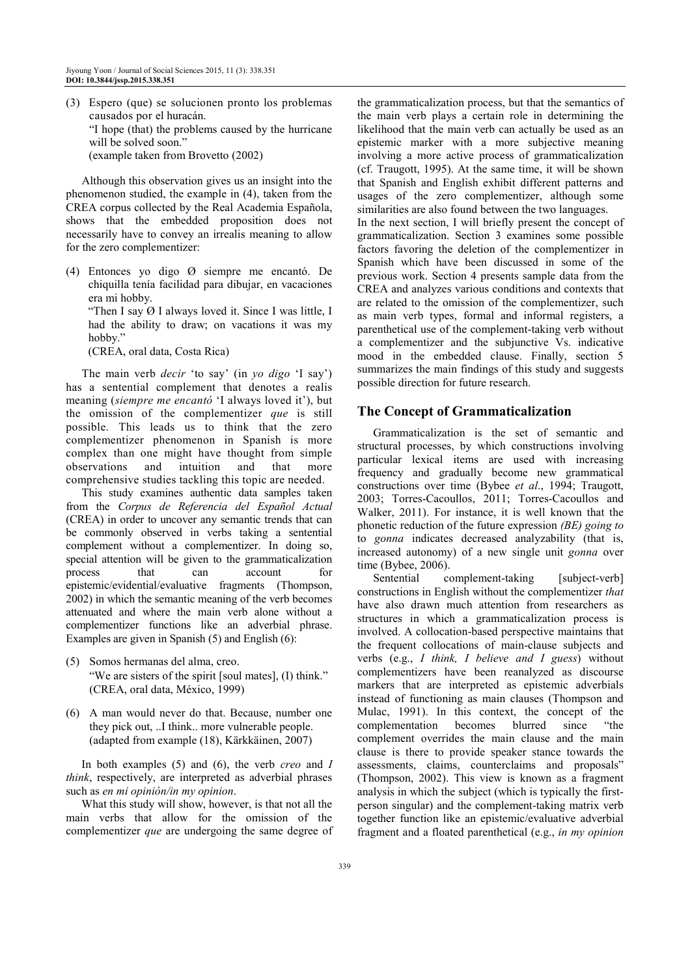(3) Espero (que) se solucionen pronto los problemas causados por el huracán. "I hope (that) the problems caused by the hurricane will be solved soon." (example taken from Brovetto (2002)

Although this observation gives us an insight into the phenomenon studied, the example in (4), taken from the CREA corpus collected by the Real Academia Española, shows that the embedded proposition does not necessarily have to convey an irrealis meaning to allow for the zero complementizer:

(4) Entonces yo digo Ø siempre me encantó. De chiquilla tenía facilidad para dibujar, en vacaciones era mi hobby.

 "Then I say Ø I always loved it. Since I was little, I had the ability to draw; on vacations it was my hobby.'

(CREA, oral data, Costa Rica)

The main verb *decir* 'to say' (in *yo digo* 'I say') has a sentential complement that denotes a realis meaning (*siempre me encantó* 'I always loved it'), but the omission of the complementizer *que* is still possible. This leads us to think that the zero complementizer phenomenon in Spanish is more complex than one might have thought from simple observations and intuition and that more comprehensive studies tackling this topic are needed.

This study examines authentic data samples taken from the *Corpus de Referencia del Español Actual* (CREA) in order to uncover any semantic trends that can be commonly observed in verbs taking a sentential complement without a complementizer. In doing so, special attention will be given to the grammaticalization process that can account for epistemic/evidential/evaluative fragments (Thompson, 2002) in which the semantic meaning of the verb becomes attenuated and where the main verb alone without a complementizer functions like an adverbial phrase. Examples are given in Spanish (5) and English (6):

- (5) Somos hermanas del alma, creo. "We are sisters of the spirit [soul mates], (I) think." (CREA, oral data, México, 1999)
- (6) A man would never do that. Because, number one they pick out, ..I think.. more vulnerable people. (adapted from example (18), Kärkkäinen, 2007)

In both examples (5) and (6), the verb *creo* and *I think*, respectively, are interpreted as adverbial phrases such as *en mi opinión/in my opinion*.

What this study will show, however, is that not all the main verbs that allow for the omission of the complementizer *que* are undergoing the same degree of the grammaticalization process, but that the semantics of the main verb plays a certain role in determining the likelihood that the main verb can actually be used as an epistemic marker with a more subjective meaning involving a more active process of grammaticalization (cf. Traugott, 1995). At the same time, it will be shown that Spanish and English exhibit different patterns and usages of the zero complementizer, although some similarities are also found between the two languages. In the next section, I will briefly present the concept of grammaticalization. Section 3 examines some possible factors favoring the deletion of the complementizer in Spanish which have been discussed in some of the previous work. Section 4 presents sample data from the CREA and analyzes various conditions and contexts that are related to the omission of the complementizer, such as main verb types, formal and informal registers, a parenthetical use of the complement-taking verb without a complementizer and the subjunctive Vs. indicative mood in the embedded clause. Finally, section 5 summarizes the main findings of this study and suggests possible direction for future research.

# **The Concept of Grammaticalization**

Grammaticalization is the set of semantic and structural processes, by which constructions involving particular lexical items are used with increasing frequency and gradually become new grammatical constructions over time (Bybee *et al*., 1994; Traugott, 2003; Torres-Cacoullos, 2011; Torres-Cacoullos and Walker, 2011). For instance, it is well known that the phonetic reduction of the future expression *(BE) going to*  to *gonna* indicates decreased analyzability (that is, increased autonomy) of a new single unit *gonna* over time (Bybee, 2006).

Sentential complement-taking [subject-verb] constructions in English without the complementizer *that* have also drawn much attention from researchers as structures in which a grammaticalization process is involved. A collocation-based perspective maintains that the frequent collocations of main-clause subjects and verbs (e.g., *I think, I believe and I guess*) without complementizers have been reanalyzed as discourse markers that are interpreted as epistemic adverbials instead of functioning as main clauses (Thompson and Mulac, 1991). In this context, the concept of the complementation becomes blurred since "the complement overrides the main clause and the main clause is there to provide speaker stance towards the assessments, claims, counterclaims and proposals" (Thompson, 2002). This view is known as a fragment analysis in which the subject (which is typically the firstperson singular) and the complement-taking matrix verb together function like an epistemic/evaluative adverbial fragment and a floated parenthetical (e.g., *in my opinion*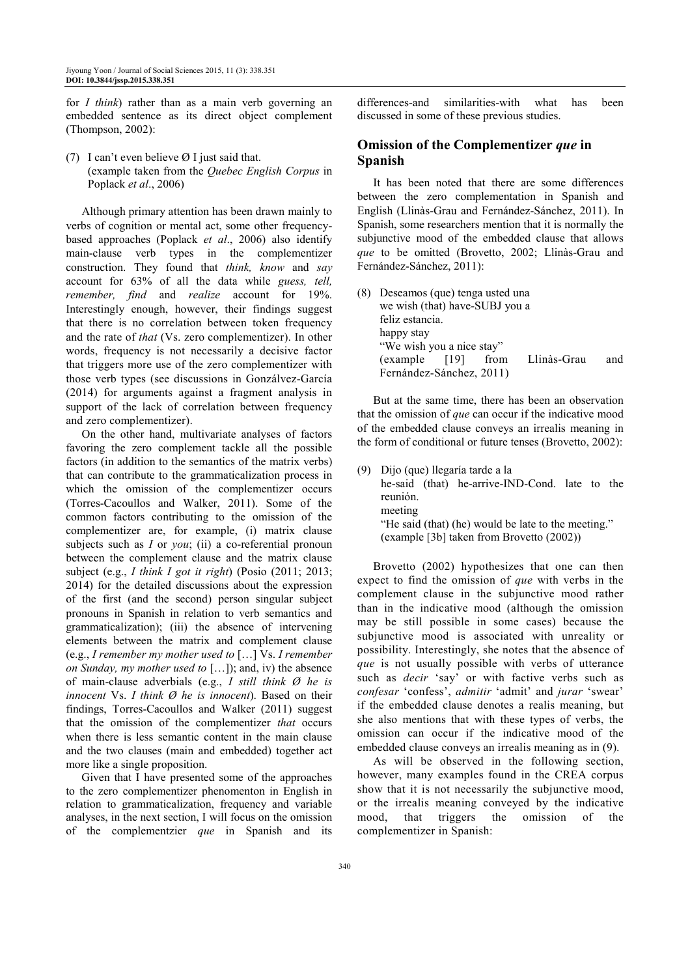for *I think*) rather than as a main verb governing an embedded sentence as its direct object complement (Thompson, 2002):

(7) I can't even believe Ø I just said that. (example taken from the *Quebec English Corpus* in Poplack *et al*., 2006)

Although primary attention has been drawn mainly to verbs of cognition or mental act, some other frequencybased approaches (Poplack *et al*., 2006) also identify main-clause verb types in the complementizer construction. They found that *think, know* and *say* account for 63% of all the data while *guess, tell, remember, find* and *realize* account for 19%. Interestingly enough, however, their findings suggest that there is no correlation between token frequency and the rate of *that* (Vs. zero complementizer). In other words, frequency is not necessarily a decisive factor that triggers more use of the zero complementizer with those verb types (see discussions in Gonzálvez-García (2014) for arguments against a fragment analysis in support of the lack of correlation between frequency and zero complementizer).

On the other hand, multivariate analyses of factors favoring the zero complement tackle all the possible factors (in addition to the semantics of the matrix verbs) that can contribute to the grammaticalization process in which the omission of the complementizer occurs (Torres-Cacoullos and Walker, 2011). Some of the common factors contributing to the omission of the complementizer are, for example, (i) matrix clause subjects such as *I* or *you*; (ii) a co-referential pronoun between the complement clause and the matrix clause subject (e.g., *I think I got it right*) (Posio (2011; 2013; 2014) for the detailed discussions about the expression of the first (and the second) person singular subject pronouns in Spanish in relation to verb semantics and grammaticalization); (iii) the absence of intervening elements between the matrix and complement clause (e.g., *I remember my mother used to* […] Vs. *I remember on Sunday, my mother used to* […]); and, iv) the absence of main-clause adverbials (e.g., *I still think Ø he is innocent* Vs. *I think Ø he is innocent*). Based on their findings, Torres-Cacoullos and Walker (2011) suggest that the omission of the complementizer *that* occurs when there is less semantic content in the main clause and the two clauses (main and embedded) together act more like a single proposition.

Given that I have presented some of the approaches to the zero complementizer phenomenton in English in relation to grammaticalization, frequency and variable analyses, in the next section, I will focus on the omission of the complementzier *que* in Spanish and its

differences-and similarities-with what has been discussed in some of these previous studies.

## **Omission of the Complementizer** *que* **in Spanish**

It has been noted that there are some differences between the zero complementation in Spanish and English (Llinàs-Grau and Fernández-Sánchez, 2011). In Spanish, some researchers mention that it is normally the subjunctive mood of the embedded clause that allows *que* to be omitted (Brovetto, 2002; Llinàs-Grau and Fernández-Sánchez, 2011):

(8) Deseamos (que) tenga usted una we wish (that) have-SUBJ you a feliz estancia. happy stay "We wish you a nice stay" (example [19] from Llinàs-Grau and Fernández-Sánchez, 2011)

But at the same time, there has been an observation that the omission of *que* can occur if the indicative mood of the embedded clause conveys an irrealis meaning in the form of conditional or future tenses (Brovetto, 2002):

(9) Dijo (que) llegaría tarde a la he-said (that) he-arrive-IND-Cond. late to the reunión. meeting "He said (that) (he) would be late to the meeting." (example [3b] taken from Brovetto (2002))

Brovetto (2002) hypothesizes that one can then expect to find the omission of *que* with verbs in the complement clause in the subjunctive mood rather than in the indicative mood (although the omission may be still possible in some cases) because the subjunctive mood is associated with unreality or possibility. Interestingly, she notes that the absence of *que* is not usually possible with verbs of utterance such as *decir* 'say' or with factive verbs such as *confesar* 'confess', *admitir* 'admit' and *jurar* 'swear' if the embedded clause denotes a realis meaning, but she also mentions that with these types of verbs, the omission can occur if the indicative mood of the embedded clause conveys an irrealis meaning as in (9).

As will be observed in the following section, however, many examples found in the CREA corpus show that it is not necessarily the subjunctive mood, or the irrealis meaning conveyed by the indicative mood, that triggers the omission of the complementizer in Spanish: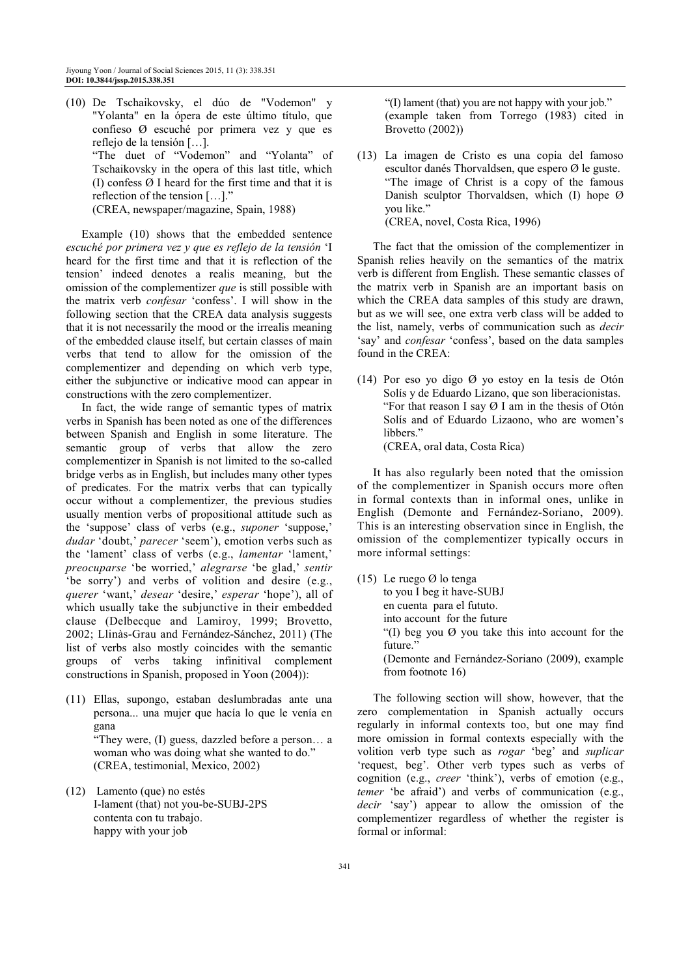(10) De Tschaikovsky, el dúo de "Vodemon" y "Yolanta" en la ópera de este último título, que confieso Ø escuché por primera vez y que es reflejo de la tensión […]. "The duet of "Vodemon" and "Yolanta" of Tschaikovsky in the opera of this last title, which (I) confess Ø I heard for the first time and that it is reflection of the tension […]." (CREA, newspaper/magazine, Spain, 1988)

Example (10) shows that the embedded sentence *escuché por primera vez y que es reflejo de la tensión* 'I heard for the first time and that it is reflection of the tension' indeed denotes a realis meaning, but the omission of the complementizer *que* is still possible with the matrix verb *confesar* 'confess'. I will show in the following section that the CREA data analysis suggests that it is not necessarily the mood or the irrealis meaning of the embedded clause itself, but certain classes of main verbs that tend to allow for the omission of the complementizer and depending on which verb type, either the subjunctive or indicative mood can appear in constructions with the zero complementizer.

In fact, the wide range of semantic types of matrix verbs in Spanish has been noted as one of the differences between Spanish and English in some literature. The semantic group of verbs that allow the zero complementizer in Spanish is not limited to the so-called bridge verbs as in English, but includes many other types of predicates. For the matrix verbs that can typically occur without a complementizer, the previous studies usually mention verbs of propositional attitude such as the 'suppose' class of verbs (e.g., *suponer* 'suppose,' *dudar* 'doubt,' *parecer* 'seem'), emotion verbs such as the 'lament' class of verbs (e.g., *lamentar* 'lament,' *preocuparse* 'be worried,' *alegrarse* 'be glad,' *sentir* 'be sorry') and verbs of volition and desire (e.g., *querer* 'want,' *desear* 'desire,' *esperar* 'hope'), all of which usually take the subjunctive in their embedded clause (Delbecque and Lamiroy, 1999; Brovetto, 2002; Llinàs-Grau and Fernández-Sánchez, 2011) (The list of verbs also mostly coincides with the semantic groups of verbs taking infinitival complement constructions in Spanish, proposed in Yoon (2004)):

(11) Ellas, supongo, estaban deslumbradas ante una persona... una mujer que hacía lo que le venía en gana

 "They were, (I) guess, dazzled before a person… a woman who was doing what she wanted to do." (CREA, testimonial, Mexico, 2002)

(12) Lamento (que) no estés I-lament (that) not you-be-SUBJ-2PS contenta con tu trabajo. happy with your job

 "(I) lament (that) you are not happy with your job." (example taken from Torrego (1983) cited in Brovetto (2002))

(13) La imagen de Cristo es una copia del famoso escultor danés Thorvaldsen, que espero Ø le guste. "The image of Christ is a copy of the famous Danish sculptor Thorvaldsen, which (I) hope Ø you like." (CREA, novel, Costa Rica, 1996)

The fact that the omission of the complementizer in Spanish relies heavily on the semantics of the matrix verb is different from English. These semantic classes of the matrix verb in Spanish are an important basis on which the CREA data samples of this study are drawn, but as we will see, one extra verb class will be added to the list, namely, verbs of communication such as *decir* 'say' and *confesar* 'confess', based on the data samples found in the CREA:

(14) Por eso yo digo Ø yo estoy en la tesis de Otón Solís y de Eduardo Lizano, que son liberacionistas. "For that reason I say  $\varnothing$  I am in the thesis of Otón Solís and of Eduardo Lizaono, who are women's libbers."

(CREA, oral data, Costa Rica)

It has also regularly been noted that the omission of the complementizer in Spanish occurs more often in formal contexts than in informal ones, unlike in English (Demonte and Fernández-Soriano, 2009). This is an interesting observation since in English, the omission of the complementizer typically occurs in more informal settings:

(15) Le ruego Ø lo tenga to you I beg it have-SUBJ en cuenta para el fututo. into account for the future "(I) beg you  $\varnothing$  you take this into account for the future<sup>'</sup> (Demonte and Fernández-Soriano (2009), example from footnote 16)

The following section will show, however, that the zero complementation in Spanish actually occurs regularly in informal contexts too, but one may find more omission in formal contexts especially with the volition verb type such as *rogar* 'beg' and *suplicar* 'request, beg'. Other verb types such as verbs of cognition (e.g., *creer* 'think'), verbs of emotion (e.g., *temer* 'be afraid') and verbs of communication (e.g., *decir* 'say') appear to allow the omission of the complementizer regardless of whether the register is formal or informal: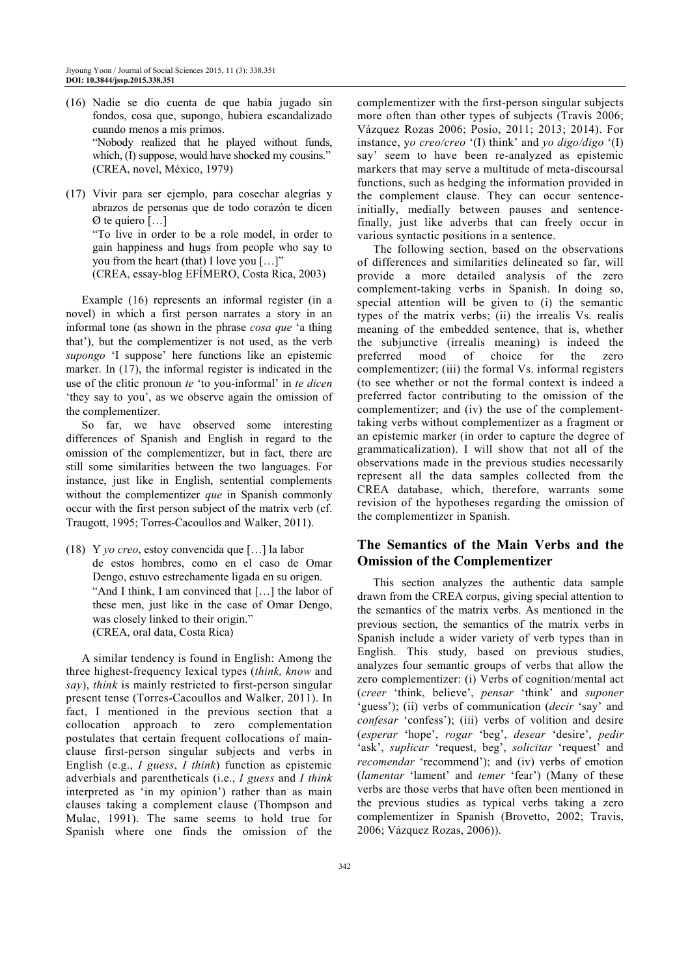- (16) Nadie se dio cuenta de que había jugado sin fondos, cosa que, supongo, hubiera escandalizado cuando menos a mis primos. "Nobody realized that he played without funds, which, (I) suppose, would have shocked my cousins." (CREA, novel, México, 1979)
- (17) Vivir para ser ejemplo, para cosechar alegrías y abrazos de personas que de todo corazón te dicen Ø te quiero […] "To live in order to be a role model, in order to gain happiness and hugs from people who say to you from the heart (that) I love you […]" (CREA, essay-blog EFÍMERO, Costa Rica, 2003)

Example (16) represents an informal register (in a novel) in which a first person narrates a story in an informal tone (as shown in the phrase *cosa que* 'a thing that'), but the complementizer is not used, as the verb *supongo* 'I suppose' here functions like an epistemic marker. In (17), the informal register is indicated in the use of the clitic pronoun *te* 'to you-informal' in *te dicen* 'they say to you', as we observe again the omission of the complementizer.

So far, we have observed some interesting differences of Spanish and English in regard to the omission of the complementizer, but in fact, there are still some similarities between the two languages. For instance, just like in English, sentential complements without the complementizer *que* in Spanish commonly occur with the first person subject of the matrix verb (cf. Traugott, 1995; Torres-Cacoullos and Walker, 2011).

(18) Y *yo creo*, estoy convencida que […] la labor de estos hombres, como en el caso de Omar Dengo, estuvo estrechamente ligada en su origen. "And I think, I am convinced that […] the labor of these men, just like in the case of Omar Dengo, was closely linked to their origin." (CREA, oral data, Costa Rica)

A similar tendency is found in English: Among the three highest-frequency lexical types (*think, know* and *say*), *think* is mainly restricted to first-person singular present tense (Torres-Cacoullos and Walker, 2011). In fact, I mentioned in the previous section that a collocation approach to zero complementation postulates that certain frequent collocations of mainclause first-person singular subjects and verbs in English (e.g., *I guess*, *I think*) function as epistemic adverbials and parentheticals (i.e., *I guess* and *I think* interpreted as 'in my opinion') rather than as main clauses taking a complement clause (Thompson and Mulac, 1991). The same seems to hold true for Spanish where one finds the omission of the

complementizer with the first-person singular subjects more often than other types of subjects (Travis 2006; Vázquez Rozas 2006; Posio, 2011; 2013; 2014). For instance, y*o creo/creo* '(I) think' and *yo digo/digo* '(I) say' seem to have been re-analyzed as epistemic markers that may serve a multitude of meta-discoursal functions, such as hedging the information provided in the complement clause. They can occur sentenceinitially, medially between pauses and sentencefinally, just like adverbs that can freely occur in various syntactic positions in a sentence.

The following section, based on the observations of differences and similarities delineated so far, will provide a more detailed analysis of the zero complement-taking verbs in Spanish. In doing so, special attention will be given to (i) the semantic types of the matrix verbs; (ii) the irrealis Vs. realis meaning of the embedded sentence, that is, whether the subjunctive (irrealis meaning) is indeed the preferred mood of choice for the zero complementizer; (iii) the formal Vs. informal registers (to see whether or not the formal context is indeed a preferred factor contributing to the omission of the complementizer; and (iv) the use of the complementtaking verbs without complementizer as a fragment or an epistemic marker (in order to capture the degree of grammaticalization). I will show that not all of the observations made in the previous studies necessarily represent all the data samples collected from the CREA database, which, therefore, warrants some revision of the hypotheses regarding the omission of the complementizer in Spanish.

# **The Semantics of the Main Verbs and the Omission of the Complementizer**

This section analyzes the authentic data sample drawn from the CREA corpus, giving special attention to the semantics of the matrix verbs. As mentioned in the previous section, the semantics of the matrix verbs in Spanish include a wider variety of verb types than in English. This study, based on previous studies, analyzes four semantic groups of verbs that allow the zero complementizer: (i) Verbs of cognition/mental act (*creer* 'think, believe', *pensar* 'think' and *suponer* 'guess'); (ii) verbs of communication (*decir* 'say' and *confesar* 'confess'); (iii) verbs of volition and desire (*esperar* 'hope', *rogar* 'beg', *desear* 'desire', *pedir* 'ask', *suplicar* 'request, beg', *solicitar* 'request' and *recomendar* 'recommend'); and (iv) verbs of emotion (*lamentar* 'lament' and *temer* 'fear') (Many of these verbs are those verbs that have often been mentioned in the previous studies as typical verbs taking a zero complementizer in Spanish (Brovetto, 2002; Travis, 2006; Vázquez Rozas, 2006)).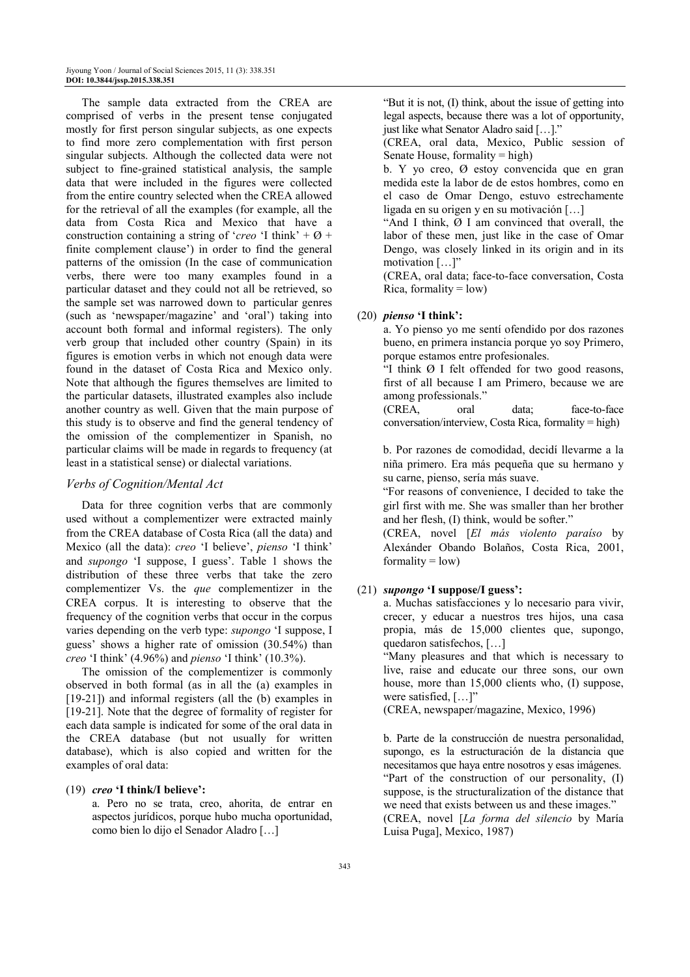The sample data extracted from the CREA are comprised of verbs in the present tense conjugated mostly for first person singular subjects, as one expects to find more zero complementation with first person singular subjects. Although the collected data were not subject to fine-grained statistical analysis, the sample data that were included in the figures were collected from the entire country selected when the CREA allowed for the retrieval of all the examples (for example, all the data from Costa Rica and Mexico that have a construction containing a string of '*creo* 'I think' +  $\varnothing$  + finite complement clause') in order to find the general patterns of the omission (In the case of communication verbs, there were too many examples found in a particular dataset and they could not all be retrieved, so the sample set was narrowed down to particular genres (such as 'newspaper/magazine' and 'oral') taking into account both formal and informal registers). The only verb group that included other country (Spain) in its figures is emotion verbs in which not enough data were found in the dataset of Costa Rica and Mexico only. Note that although the figures themselves are limited to the particular datasets, illustrated examples also include another country as well. Given that the main purpose of this study is to observe and find the general tendency of the omission of the complementizer in Spanish, no particular claims will be made in regards to frequency (at least in a statistical sense) or dialectal variations.

#### *Verbs of Cognition/Mental Act*

Data for three cognition verbs that are commonly used without a complementizer were extracted mainly from the CREA database of Costa Rica (all the data) and Mexico (all the data): *creo* 'I believe', *pienso* 'I think' and *supongo* 'I suppose, I guess'. Table 1 shows the distribution of these three verbs that take the zero complementizer Vs. the *que* complementizer in the CREA corpus. It is interesting to observe that the frequency of the cognition verbs that occur in the corpus varies depending on the verb type: *supongo* 'I suppose, I guess' shows a higher rate of omission (30.54%) than *creo* 'I think' (4.96%) and *pienso* 'I think' (10.3%).

The omission of the complementizer is commonly observed in both formal (as in all the (a) examples in [19-21]) and informal registers (all the (b) examples in [19-21]. Note that the degree of formality of register for each data sample is indicated for some of the oral data in the CREA database (but not usually for written database), which is also copied and written for the examples of oral data:

#### (19) *creo* **'I think/I believe':**

 a. Pero no se trata, creo, ahorita, de entrar en aspectos jurídicos, porque hubo mucha oportunidad, como bien lo dijo el Senador Aladro […]

 "But it is not, (I) think, about the issue of getting into legal aspects, because there was a lot of opportunity, just like what Senator Aladro said […]."

 (CREA, oral data, Mexico, Public session of Senate House, formality  $=$  high)

 b. Y yo creo, Ø estoy convencida que en gran medida este la labor de de estos hombres, como en el caso de Omar Dengo, estuvo estrechamente ligada en su origen y en su motivación […]

 "And I think, Ø I am convinced that overall, the labor of these men, just like in the case of Omar Dengo, was closely linked in its origin and in its motivation […]"

 (CREA, oral data; face-to-face conversation, Costa Rica, formality  $=$  low)

#### (20) *pienso* **'I think':**

 a. Yo pienso yo me sentí ofendido por dos razones bueno, en primera instancia porque yo soy Primero, porque estamos entre profesionales.

 "I think Ø I felt offended for two good reasons, first of all because I am Primero, because we are among professionals."

 (CREA, oral data; face-to-face conversation/interview, Costa Rica, formality = high)

 b. Por razones de comodidad, decidí llevarme a la niña primero. Era más pequeña que su hermano y su carne, pienso, sería más suave.

 "For reasons of convenience, I decided to take the girl first with me. She was smaller than her brother and her flesh, (I) think, would be softer."

 (CREA, novel [*El más violento paraíso* by Alexánder Obando Bolaños, Costa Rica, 2001,  $formality = low$ )

#### (21) *supongo* **'I suppose/I guess':**

 a. Muchas satisfacciones y lo necesario para vivir, crecer, y educar a nuestros tres hijos, una casa propia, más de 15,000 clientes que, supongo, quedaron satisfechos, […]

 "Many pleasures and that which is necessary to live, raise and educate our three sons, our own house, more than 15,000 clients who, (I) suppose, were satisfied, [...]

(CREA, newspaper/magazine, Mexico, 1996)

 b. Parte de la construcción de nuestra personalidad, supongo, es la estructuración de la distancia que necesitamos que haya entre nosotros y esas imágenes. "Part of the construction of our personality, (I) suppose, is the structuralization of the distance that we need that exists between us and these images." (CREA, novel [*La forma del silencio* by María Luisa Puga], Mexico, 1987)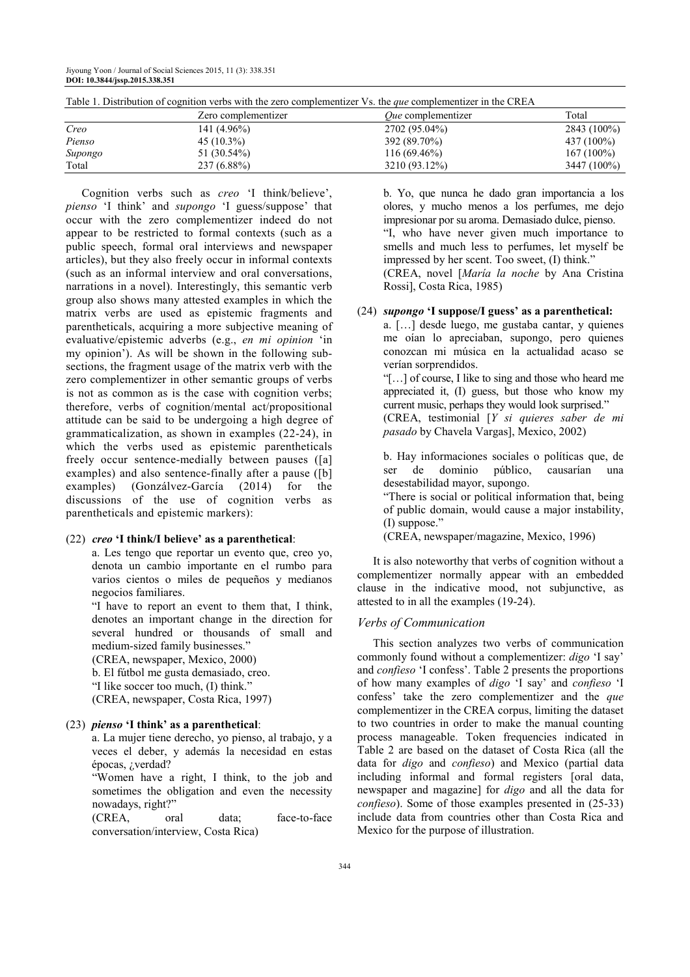|         | Zero complementizer | <i>Oue</i> complementizer | Total        |  |
|---------|---------------------|---------------------------|--------------|--|
| Creo    | 141 (4.96%)         | 2702 (95.04%)             | 2843 (100%)  |  |
| Pienso  | $45(10.3\%)$        | 392 (89.70%)              | 437 (100%)   |  |
| Supongo | 51 (30.54%)         | $116(69.46\%)$            | $167(100\%)$ |  |
| Total   | 237 (6.88%)         | 3210 (93.12%)             | 3447 (100%)  |  |

Table 1. Distribution of cognition verbs with the zero complementizer Vs. the *que* complementizer in the CREA

Cognition verbs such as *creo* 'I think/believe', *pienso* 'I think' and *supongo* 'I guess/suppose' that occur with the zero complementizer indeed do not appear to be restricted to formal contexts (such as a public speech, formal oral interviews and newspaper articles), but they also freely occur in informal contexts (such as an informal interview and oral conversations, narrations in a novel). Interestingly, this semantic verb group also shows many attested examples in which the matrix verbs are used as epistemic fragments and parentheticals, acquiring a more subjective meaning of evaluative/epistemic adverbs (e.g., *en mi opinion* 'in my opinion'). As will be shown in the following subsections, the fragment usage of the matrix verb with the zero complementizer in other semantic groups of verbs is not as common as is the case with cognition verbs; therefore, verbs of cognition/mental act/propositional attitude can be said to be undergoing a high degree of grammaticalization, as shown in examples (22-24), in which the verbs used as epistemic parentheticals freely occur sentence-medially between pauses ([a] examples) and also sentence-finally after a pause ([b] examples) (Gonzálvez-García (2014) for the discussions of the use of cognition verbs as parentheticals and epistemic markers):

#### (22) *creo* **'I think/I believe' as a parenthetical**:

 a. Les tengo que reportar un evento que, creo yo, denota un cambio importante en el rumbo para varios cientos o miles de pequeños y medianos negocios familiares.

 "I have to report an event to them that, I think, denotes an important change in the direction for several hundred or thousands of small and medium-sized family businesses."

(CREA, newspaper, Mexico, 2000)

 b. El fútbol me gusta demasiado, creo. "I like soccer too much, (I) think."

(CREA, newspaper, Costa Rica, 1997)

#### (23) *pienso* **'I think' as a parenthetical**:

 a. La mujer tiene derecho, yo pienso, al trabajo, y a veces el deber, y además la necesidad en estas épocas, ¿verdad?

 "Women have a right, I think, to the job and sometimes the obligation and even the necessity nowadays, right?"

 (CREA, oral data; face-to-face conversation/interview, Costa Rica)

 b. Yo, que nunca he dado gran importancia a los olores, y mucho menos a los perfumes, me dejo impresionar por su aroma. Demasiado dulce, pienso. "I, who have never given much importance to smells and much less to perfumes, let myself be impressed by her scent. Too sweet, (I) think." (CREA, novel [*María la noche* by Ana Cristina Rossi], Costa Rica, 1985)

#### (24) *supongo* **'I suppose/I guess' as a parenthetical:**

 a. […] desde luego, me gustaba cantar, y quienes me oían lo apreciaban, supongo, pero quienes conozcan mi música en la actualidad acaso se verían sorprendidos.

 "[…] of course, I like to sing and those who heard me appreciated it, (I) guess, but those who know my current music, perhaps they would look surprised." (CREA, testimonial [*Y si quieres saber de mi pasado* by Chavela Vargas], Mexico, 2002)

 b. Hay informaciones sociales o políticas que, de ser de dominio público, causarían una desestabilidad mayor, supongo.

 "There is social or political information that, being of public domain, would cause a major instability, (I) suppose."

(CREA, newspaper/magazine, Mexico, 1996)

It is also noteworthy that verbs of cognition without a complementizer normally appear with an embedded clause in the indicative mood, not subjunctive, as attested to in all the examples (19-24).

#### *Verbs of Communication*

This section analyzes two verbs of communication commonly found without a complementizer: *digo* 'I say' and *confieso* 'I confess'. Table 2 presents the proportions of how many examples of *digo* 'I say' and *confieso* 'I confess' take the zero complementizer and the *que*  complementizer in the CREA corpus, limiting the dataset to two countries in order to make the manual counting process manageable. Token frequencies indicated in Table 2 are based on the dataset of Costa Rica (all the data for *digo* and *confieso*) and Mexico (partial data including informal and formal registers [oral data, newspaper and magazine] for *digo* and all the data for *confieso*). Some of those examples presented in (25-33) include data from countries other than Costa Rica and Mexico for the purpose of illustration.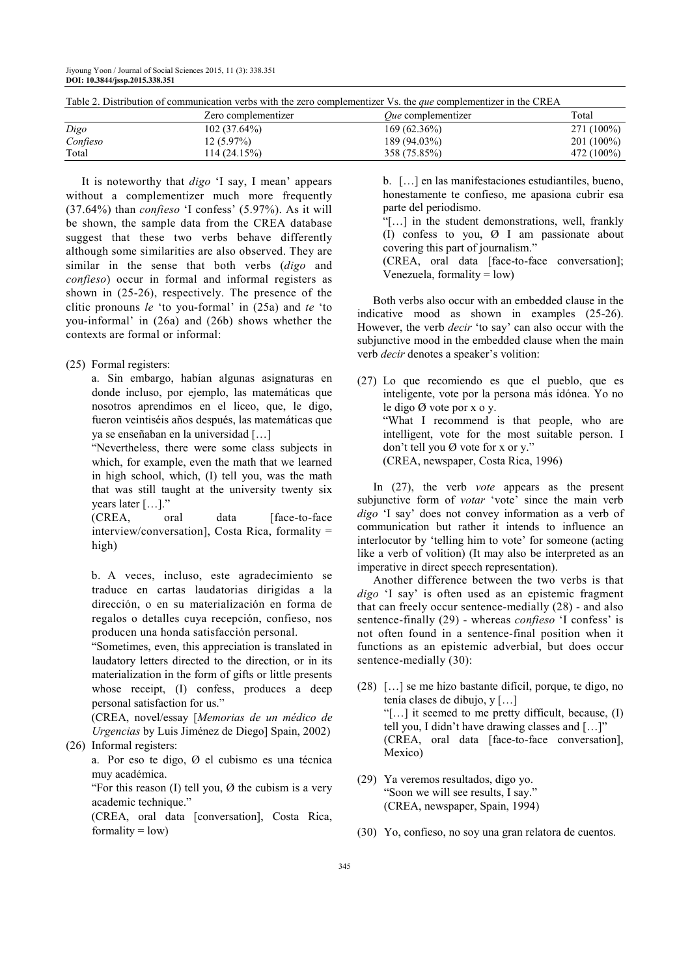|          | Zero complementizer | <i>Oue</i> complementizer | Total        |
|----------|---------------------|---------------------------|--------------|
| Digo     | $102(37.64\%)$      | $169(62.36\%)$            | 271 (100%)   |
| Confieso | $12(5.97\%)$        | 189 (94.03%)              | $201(100\%)$ |
| Total    | 14 (24.15%)         | 358 (75.85%)              | 472 (100%)   |

Table 2. Distribution of communication verbs with the zero complementizer Vs. the *que* complementizer in the CREA

It is noteworthy that *digo* 'I say, I mean' appears without a complementizer much more frequently (37.64%) than *confieso* 'I confess' (5.97%). As it will be shown, the sample data from the CREA database suggest that these two verbs behave differently although some similarities are also observed. They are similar in the sense that both verbs (*digo* and *confieso*) occur in formal and informal registers as shown in (25-26), respectively. The presence of the clitic pronouns *le* 'to you-formal' in (25a) and *te* 'to you-informal' in (26a) and (26b) shows whether the contexts are formal or informal:

(25) Formal registers:

 a. Sin embargo, habían algunas asignaturas en donde incluso, por ejemplo, las matemáticas que nosotros aprendimos en el liceo, que, le digo, fueron veintiséis años después, las matemáticas que ya se enseñaban en la universidad […]

 "Nevertheless, there were some class subjects in which, for example, even the math that we learned in high school, which, (I) tell you, was the math that was still taught at the university twenty six years later […]."

(CREA, oral data [face-to-face] interview/conversation], Costa Rica, formality = high)

 b. A veces, incluso, este agradecimiento se traduce en cartas laudatorias dirigidas a la dirección, o en su materialización en forma de regalos o detalles cuya recepción, confieso, nos producen una honda satisfacción personal.

 "Sometimes, even, this appreciation is translated in laudatory letters directed to the direction, or in its materialization in the form of gifts or little presents whose receipt, (I) confess, produces a deep personal satisfaction for us."

 (CREA, novel/essay [*Memorias de un médico de Urgencias* by Luis Jiménez de Diego] Spain, 2002)

(26) Informal registers:

 a. Por eso te digo, Ø el cubismo es una técnica muy académica.

"For this reason  $(I)$  tell you,  $\varnothing$  the cubism is a very academic technique."

 (CREA, oral data [conversation], Costa Rica, formality  $=$  low)

 b. […] en las manifestaciones estudiantiles, bueno, honestamente te confieso, me apasiona cubrir esa parte del periodismo.

 "[…] in the student demonstrations, well, frankly (I) confess to you, Ø I am passionate about covering this part of journalism."

 (CREA, oral data [face-to-face conversation]; Venezuela, formality  $=$  low)

Both verbs also occur with an embedded clause in the indicative mood as shown in examples (25-26). However, the verb *decir* 'to say' can also occur with the subjunctive mood in the embedded clause when the main verb *decir* denotes a speaker's volition:

(27) Lo que recomiendo es que el pueblo, que es inteligente, vote por la persona más idónea. Yo no le digo Ø vote por x o y. "What I recommend is that people, who are intelligent, vote for the most suitable person. I don't tell you Ø vote for x or y." (CREA, newspaper, Costa Rica, 1996)

In (27), the verb *vote* appears as the present subjunctive form of *votar* 'vote' since the main verb *digo* 'I say' does not convey information as a verb of communication but rather it intends to influence an interlocutor by 'telling him to vote' for someone (acting like a verb of volition) (It may also be interpreted as an imperative in direct speech representation).

Another difference between the two verbs is that *digo* 'I say' is often used as an epistemic fragment that can freely occur sentence-medially (28) - and also sentence-finally (29) - whereas *confieso* 'I confess' is not often found in a sentence-final position when it functions as an epistemic adverbial, but does occur sentence-medially (30):

- (28) […] se me hizo bastante difícil, porque, te digo, no tenía clases de dibujo, y […] "[…] it seemed to me pretty difficult, because, (I) tell you, I didn't have drawing classes and […]" (CREA, oral data [face-to-face conversation], Mexico)
- (29) Ya veremos resultados, digo yo. "Soon we will see results, I say." (CREA, newspaper, Spain, 1994)
- (30) Yo, confieso, no soy una gran relatora de cuentos.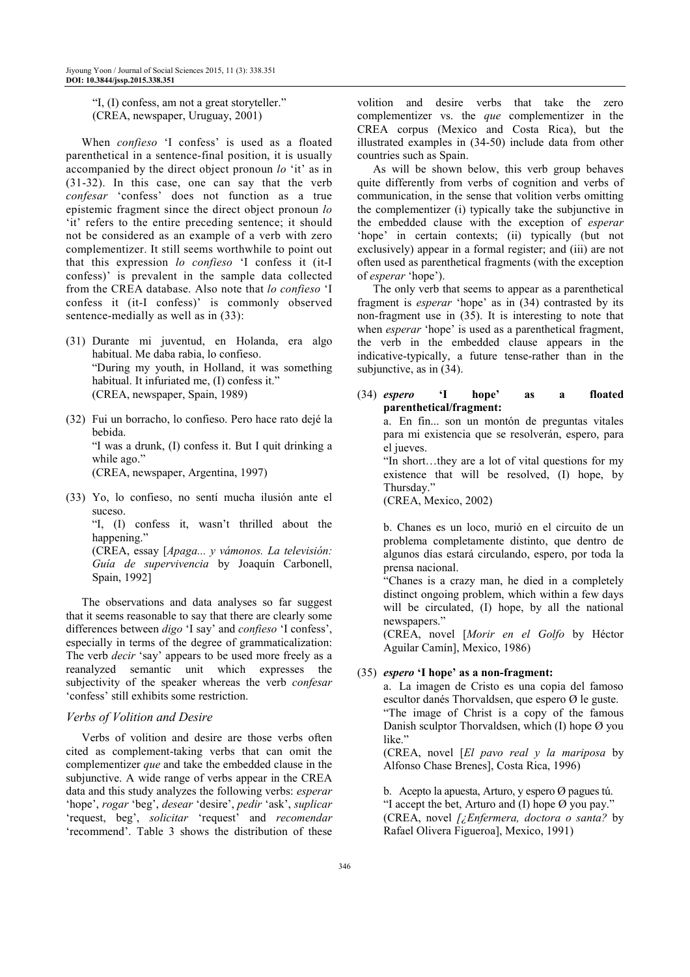"I, (I) confess, am not a great storyteller." (CREA, newspaper, Uruguay, 2001)

When *confieso* 'I confess' is used as a floated parenthetical in a sentence-final position, it is usually accompanied by the direct object pronoun *lo* 'it' as in (31-32). In this case, one can say that the verb *confesar* 'confess' does not function as a true epistemic fragment since the direct object pronoun *lo*  'it' refers to the entire preceding sentence; it should not be considered as an example of a verb with zero complementizer. It still seems worthwhile to point out that this expression *lo confieso* 'I confess it (it-I confess)' is prevalent in the sample data collected from the CREA database. Also note that *lo confieso* 'I confess it (it-I confess)' is commonly observed sentence-medially as well as in (33):

- (31) Durante mi juventud, en Holanda, era algo habitual. Me daba rabia, lo confieso. "During my youth, in Holland, it was something habitual. It infuriated me, (I) confess it." (CREA, newspaper, Spain, 1989)
- (32) Fui un borracho, lo confieso. Pero hace rato dejé la bebida. "I was a drunk, (I) confess it. But I quit drinking a while ago." (CREA, newspaper, Argentina, 1997)
- (33) Yo, lo confieso, no sentí mucha ilusión ante el suceso.

 "I, (I) confess it, wasn't thrilled about the happening." (CREA, essay [*Apaga... y vámonos. La televisión:* 

*Guía de supervivencia* by Joaquín Carbonell, Spain, 1992]

The observations and data analyses so far suggest that it seems reasonable to say that there are clearly some differences between *digo* 'I say' and *confieso* 'I confess', especially in terms of the degree of grammaticalization: The verb *decir* 'say' appears to be used more freely as a reanalyzed semantic unit which expresses the subjectivity of the speaker whereas the verb *confesar* 'confess' still exhibits some restriction.

## *Verbs of Volition and Desire*

Verbs of volition and desire are those verbs often cited as complement-taking verbs that can omit the complementizer *que* and take the embedded clause in the subjunctive. A wide range of verbs appear in the CREA data and this study analyzes the following verbs: *esperar* 'hope', *rogar* 'beg', *desear* 'desire', *pedir* 'ask', *suplicar* 'request, beg', *solicitar* 'request' and *recomendar* 'recommend'. Table 3 shows the distribution of these

volition and desire verbs that take the zero complementizer vs. the *que* complementizer in the CREA corpus (Mexico and Costa Rica), but the illustrated examples in (34-50) include data from other countries such as Spain.

As will be shown below, this verb group behaves quite differently from verbs of cognition and verbs of communication, in the sense that volition verbs omitting the complementizer (i) typically take the subjunctive in the embedded clause with the exception of *esperar* 'hope' in certain contexts; (ii) typically (but not exclusively) appear in a formal register; and (iii) are not often used as parenthetical fragments (with the exception of *esperar* 'hope').

The only verb that seems to appear as a parenthetical fragment is *esperar* 'hope' as in (34) contrasted by its non-fragment use in (35). It is interesting to note that when *esperar* 'hope' is used as a parenthetical fragment, the verb in the embedded clause appears in the indicative-typically, a future tense-rather than in the subjunctive, as in (34).

(34) *espero* **'I hope' as a floated parenthetical/fragment:**  a. En fin... son un montón de preguntas vitales

para mi existencia que se resolverán, espero, para el jueves.

 "In short…they are a lot of vital questions for my existence that will be resolved, (I) hope, by Thursday."

(CREA, Mexico, 2002)

 b. Chanes es un loco, murió en el circuito de un problema completamente distinto, que dentro de algunos días estará circulando, espero, por toda la prensa nacional.

 "Chanes is a crazy man, he died in a completely distinct ongoing problem, which within a few days will be circulated, (I) hope, by all the national newspapers."

 (CREA, novel [*Morir en el Golfo* by Héctor Aguilar Camín], Mexico, 1986)

# (35) *espero* **'I hope' as a non-fragment:**

 a. La imagen de Cristo es una copia del famoso escultor danés Thorvaldsen, que espero Ø le guste. "The image of Christ is a copy of the famous Danish sculptor Thorvaldsen, which (I) hope Ø you like."

 (CREA, novel [*El pavo real y la mariposa* by Alfonso Chase Brenes], Costa Rica, 1996)

 b. Acepto la apuesta, Arturo, y espero Ø pagues tú. "I accept the bet, Arturo and (I) hope  $\emptyset$  you pay." (CREA, novel *[¿Enfermera, doctora o santa?* by Rafael Olivera Figueroa], Mexico, 1991)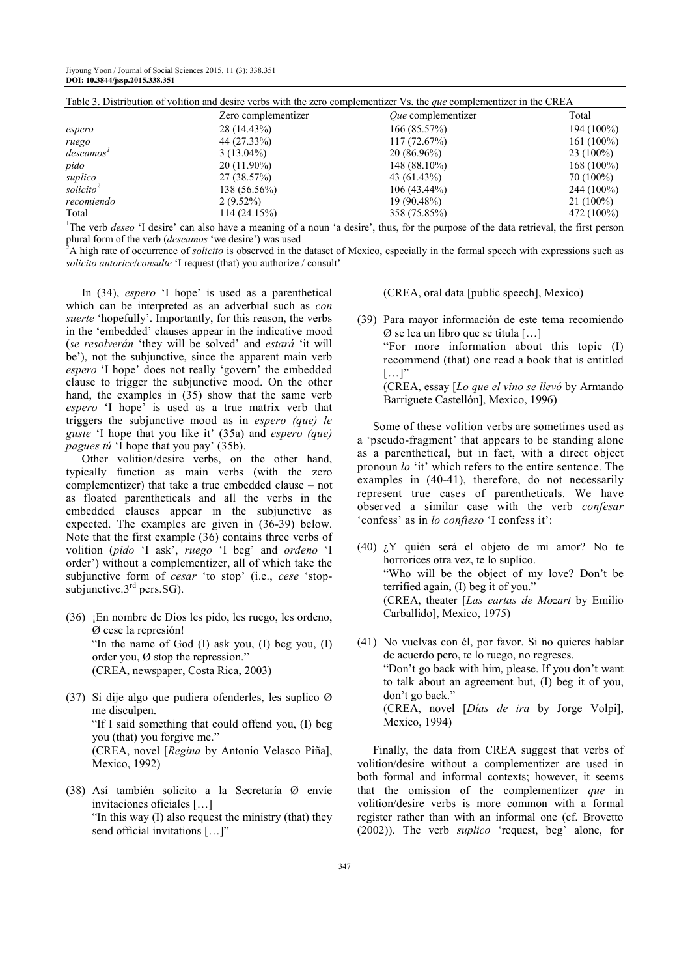| Table 5. Distribution of volition and desire verbs with the zero complementizer vs. the <i>que</i> complementizer in the CKEA |                     |                           |              |  |
|-------------------------------------------------------------------------------------------------------------------------------|---------------------|---------------------------|--------------|--|
|                                                                                                                               | Zero complementizer | <i>Oue</i> complementizer | Total        |  |
| espero                                                                                                                        | 28 (14.43%)         | 166(85.57%)               | 194 (100%)   |  |
| ruego                                                                                                                         | 44 (27.33%)         | 117(72.67%)               | $161(100\%)$ |  |
| deseamos'                                                                                                                     | $3(13.04\%)$        | $20(86.96\%)$             | $23(100\%)$  |  |
| pido                                                                                                                          | $20(11.90\%)$       | $148(88.10\%)$            | $168(100\%)$ |  |
| suplico                                                                                                                       | 27 (38.57%)         | 43 (61.43%)               | 70 (100%)    |  |
| solicito <sup>2</sup>                                                                                                         | 138 (56.56%)        | $106(43.44\%)$            | $244(100\%)$ |  |
| recomiendo                                                                                                                    | $2(9.52\%)$         | 19 (90.48%)               | $21(100\%)$  |  |
| Total                                                                                                                         | 114(24.15%)         | 358 (75.85%)              | 472 (100%)   |  |

Table 3. Distribution of volition and desire verbs with the zero complementizer Vs. the *que* complementizer in the CREA

<sup>1</sup>The verb *deseo* 'I desire' can also have a meaning of a noun 'a desire', thus, for the purpose of the data retrieval, the first person plural form of the verb (*deseamos* 'we desire') was used

<sup>2</sup>A high rate of occurrence of *solicito* is observed in the dataset of Mexico, especially in the formal speech with expressions such as *solicito autorice*/*consulte* 'I request (that) you authorize / consult'

In (34), *espero* 'I hope' is used as a parenthetical which can be interpreted as an adverbial such as *con suerte* 'hopefully'. Importantly, for this reason, the verbs in the 'embedded' clauses appear in the indicative mood (*se resolverán* 'they will be solved' and *estará* 'it will be'), not the subjunctive, since the apparent main verb *espero* 'I hope' does not really 'govern' the embedded clause to trigger the subjunctive mood. On the other hand, the examples in (35) show that the same verb *espero* 'I hope' is used as a true matrix verb that triggers the subjunctive mood as in *espero (que) le guste* 'I hope that you like it' (35a) and *espero (que) pagues tú* 'I hope that you pay' (35b).

Other volition/desire verbs, on the other hand, typically function as main verbs (with the zero complementizer) that take a true embedded clause – not as floated parentheticals and all the verbs in the embedded clauses appear in the subjunctive as expected. The examples are given in (36-39) below. Note that the first example (36) contains three verbs of volition (*pido* 'I ask', *ruego* 'I beg' and *ordeno* 'I order') without a complementizer, all of which take the subjunctive form of *cesar* 'to stop' (i.e., *cese* 'stopsubjunctive. $3<sup>rd</sup>$  pers. SG).

- (36) ¡En nombre de Dios les pido, les ruego, les ordeno, Ø cese la represión! "In the name of God (I) ask you, (I) beg you, (I) order you, Ø stop the repression." (CREA, newspaper, Costa Rica, 2003)
- (37) Si dije algo que pudiera ofenderles, les suplico Ø me disculpen. "If I said something that could offend you, (I) beg you (that) you forgive me." (CREA, novel [*Regina* by Antonio Velasco Piña], Mexico, 1992)
- (38) Así también solicito a la Secretaría Ø envíe invitaciones oficiales […] "In this way (I) also request the ministry (that) they send official invitations [...]"

(CREA, oral data [public speech], Mexico)

(39) Para mayor información de este tema recomiendo Ø se lea un libro que se titula […] "For more information about this topic (I) recommend (that) one read a book that is entitled  $[\ldots]$ "

 (CREA, essay [*Lo que el vino se llevó* by Armando Barriguete Castellón], Mexico, 1996)

Some of these volition verbs are sometimes used as a 'pseudo-fragment' that appears to be standing alone as a parenthetical, but in fact, with a direct object pronoun *lo* 'it' which refers to the entire sentence. The examples in (40-41), therefore, do not necessarily represent true cases of parentheticals. We have observed a similar case with the verb *confesar* 'confess' as in *lo confieso* 'I confess it':

- (40) ¿Y quién será el objeto de mi amor? No te horrorices otra vez, te lo suplico. "Who will be the object of my love? Don't be terrified again, (I) beg it of you." (CREA, theater [*Las cartas de Mozart* by Emilio Carballido], Mexico, 1975)
- (41) No vuelvas con él, por favor. Si no quieres hablar de acuerdo pero, te lo ruego, no regreses. "Don't go back with him, please. If you don't want to talk about an agreement but, (I) beg it of you, don't go back." (CREA, novel [*Días de ira* by Jorge Volpi], Mexico, 1994)

Finally, the data from CREA suggest that verbs of volition/desire without a complementizer are used in both formal and informal contexts; however, it seems that the omission of the complementizer *que* in volition/desire verbs is more common with a formal register rather than with an informal one (cf. Brovetto (2002)). The verb *suplico* 'request, beg' alone, for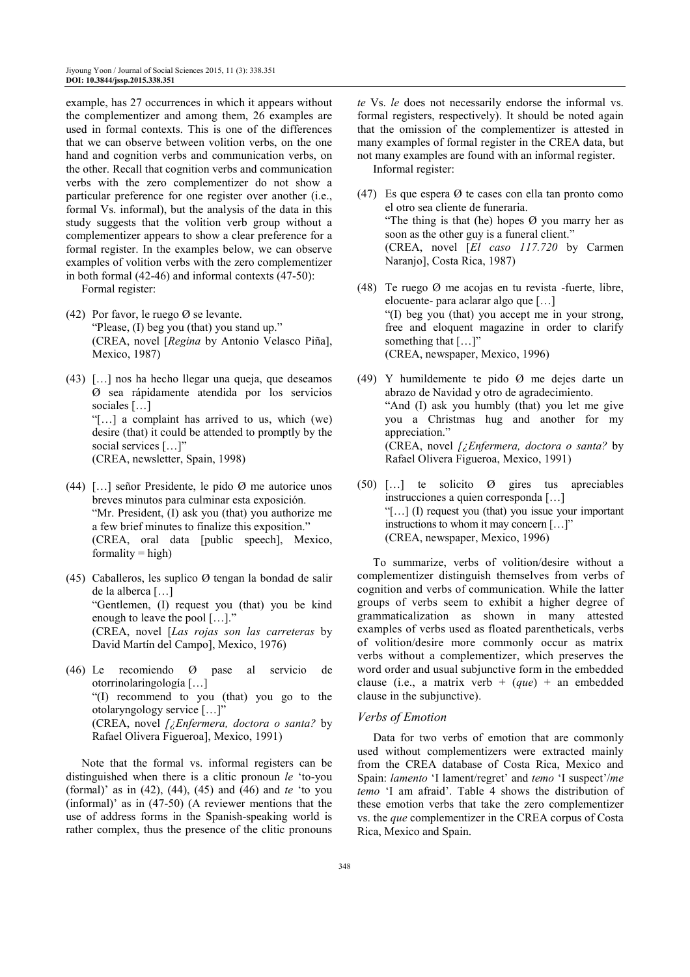example, has 27 occurrences in which it appears without the complementizer and among them, 26 examples are used in formal contexts. This is one of the differences that we can observe between volition verbs, on the one hand and cognition verbs and communication verbs, on the other. Recall that cognition verbs and communication verbs with the zero complementizer do not show a particular preference for one register over another (i.e., formal Vs. informal), but the analysis of the data in this study suggests that the volition verb group without a complementizer appears to show a clear preference for a formal register. In the examples below, we can observe examples of volition verbs with the zero complementizer in both formal (42-46) and informal contexts (47-50):

Formal register:

- (42) Por favor, le ruego Ø se levante. "Please, (I) beg you (that) you stand up." (CREA, novel [*Regina* by Antonio Velasco Piña], Mexico, 1987)
- (43) […] nos ha hecho llegar una queja, que deseamos Ø sea rápidamente atendida por los servicios sociales […] "[…] a complaint has arrived to us, which (we) desire (that) it could be attended to promptly by the social services […]" (CREA, newsletter, Spain, 1998)
- (44) […] señor Presidente, le pido Ø me autorice unos breves minutos para culminar esta exposición. "Mr. President, (I) ask you (that) you authorize me a few brief minutes to finalize this exposition." (CREA, oral data [public speech], Mexico,  $formality = high$
- (45) Caballeros, les suplico Ø tengan la bondad de salir de la alberca […] "Gentlemen, (I) request you (that) you be kind enough to leave the pool  $[...]$ . (CREA, novel [*Las rojas son las carreteras* by David Martín del Campo], Mexico, 1976)
- (46) Le recomiendo Ø pase al servicio de otorrinolaringología […] "(I) recommend to you (that) you go to the otolaryngology service […]" (CREA, novel *[¿Enfermera, doctora o santa?* by Rafael Olivera Figueroa], Mexico, 1991)

Note that the formal vs. informal registers can be distinguished when there is a clitic pronoun *le* 'to-you (formal)' as in (42), (44), (45) and (46) and *te* 'to you (informal)' as in (47-50) (A reviewer mentions that the use of address forms in the Spanish-speaking world is rather complex, thus the presence of the clitic pronouns *te* Vs. *le* does not necessarily endorse the informal vs. formal registers, respectively). It should be noted again that the omission of the complementizer is attested in many examples of formal register in the CREA data, but not many examples are found with an informal register. Informal register:

- (47) Es que espera  $\varnothing$  te cases con ella tan pronto como el otro sea cliente de funeraria. "The thing is that (he) hopes  $\varnothing$  you marry her as soon as the other guy is a funeral client." (CREA, novel [*El caso 117.720* by Carmen Naranjo], Costa Rica, 1987)
- (48) Te ruego Ø me acojas en tu revista -fuerte, libre, elocuente- para aclarar algo que […] "(I) beg you (that) you accept me in your strong, free and eloquent magazine in order to clarify something that  $[\dots]$ " (CREA, newspaper, Mexico, 1996)
- (49) Y humildemente te pido Ø me dejes darte un abrazo de Navidad y otro de agradecimiento. "And (I) ask you humbly (that) you let me give you a Christmas hug and another for my appreciation." (CREA, novel *[¿Enfermera, doctora o santa?* by Rafael Olivera Figueroa, Mexico, 1991)
- $(50)$  [...] te solicito  $\Omega$  gires tus apreciables instrucciones a quien corresponda […] "[…] (I) request you (that) you issue your important instructions to whom it may concern […]" (CREA, newspaper, Mexico, 1996)

To summarize, verbs of volition/desire without a complementizer distinguish themselves from verbs of cognition and verbs of communication. While the latter groups of verbs seem to exhibit a higher degree of grammaticalization as shown in many attested examples of verbs used as floated parentheticals, verbs of volition/desire more commonly occur as matrix verbs without a complementizer, which preserves the word order and usual subjunctive form in the embedded clause (i.e., a matrix verb  $+$  (*que*)  $+$  an embedded clause in the subjunctive).

#### *Verbs of Emotion*

Data for two verbs of emotion that are commonly used without complementizers were extracted mainly from the CREA database of Costa Rica, Mexico and Spain: *lamento* 'I lament/regret' and *temo* 'I suspect'/*me temo* 'I am afraid'. Table 4 shows the distribution of these emotion verbs that take the zero complementizer vs. the *que* complementizer in the CREA corpus of Costa Rica, Mexico and Spain.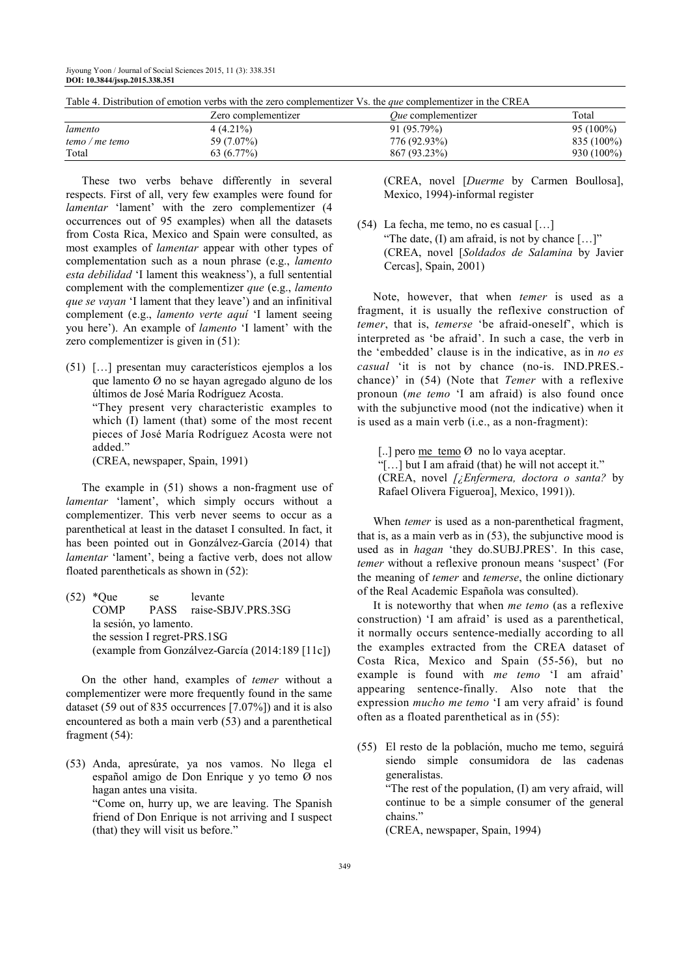| Table +. Distribution of chrotten verbs with the zero complementated vs. the <i>que</i> complementated in the Create |                     |                           |              |  |  |
|----------------------------------------------------------------------------------------------------------------------|---------------------|---------------------------|--------------|--|--|
|                                                                                                                      | Zero complementizer | <i>Oue</i> complementizer | Total        |  |  |
| lamento                                                                                                              | $4(4.21\%)$         | 91 (95.79%)               | $95(100\%)$  |  |  |
| temo / me temo                                                                                                       | 59 (7.07%)          | 776 (92.93%)              | 835 (100%)   |  |  |
| Total                                                                                                                | $63(6.77\%)$        | 867 (93.23%)              | $930(100\%)$ |  |  |

Table 4. Distribution of emotion verbs with the zero complementizer Vs. the *que* complementizer in the CREA

These two verbs behave differently in several respects. First of all, very few examples were found for *lamentar* 'lament' with the zero complementizer (4 occurrences out of 95 examples) when all the datasets from Costa Rica, Mexico and Spain were consulted, as most examples of *lamentar* appear with other types of complementation such as a noun phrase (e.g., *lamento esta debilidad* 'I lament this weakness'), a full sentential complement with the complementizer *que* (e.g., *lamento que se vayan* 'I lament that they leave') and an infinitival complement (e.g., *lamento verte aquí* 'I lament seeing you here'). An example of *lamento* 'I lament' with the zero complementizer is given in (51):

(51) […] presentan muy característicos ejemplos a los que lamento Ø no se hayan agregado alguno de los últimos de José María Rodríguez Acosta. "They present very characteristic examples to which (I) lament (that) some of the most recent pieces of José María Rodríguez Acosta were not added." (CREA, newspaper, Spain, 1991)

The example in (51) shows a non-fragment use of *lamentar* 'lament', which simply occurs without a complementizer. This verb never seems to occur as a parenthetical at least in the dataset I consulted. In fact, it has been pointed out in Gonzálvez-García (2014) that *lamentar* 'lament', being a factive verb, does not allow floated parentheticals as shown in (52):

(52) \*Que se levante COMP PASS raise-SBJV.PRS.3SG la sesión, yo lamento. the session I regret-PRS.1SG (example from Gonzálvez-García (2014:189 [11c])

On the other hand, examples of *temer* without a complementizer were more frequently found in the same dataset (59 out of 835 occurrences [7.07%]) and it is also encountered as both a main verb (53) and a parenthetical fragment (54):

(53) Anda, apresúrate, ya nos vamos. No llega el español amigo de Don Enrique y yo temo Ø nos hagan antes una visita. "Come on, hurry up, we are leaving. The Spanish friend of Don Enrique is not arriving and I suspect (that) they will visit us before."

 (CREA, novel [*Duerme* by Carmen Boullosa], Mexico, 1994)-informal register

(54) La fecha, me temo, no es casual […] "The date,  $(I)$  am afraid, is not by chance  $[...]$ " (CREA, novel [*Soldados de Salamina* by Javier Cercas], Spain, 2001)

Note, however, that when *temer* is used as a fragment, it is usually the reflexive construction of *temer*, that is, *temerse* 'be afraid-oneself', which is interpreted as 'be afraid'. In such a case, the verb in the 'embedded' clause is in the indicative, as in *no es casual* 'it is not by chance (no-is. IND.PRES. chance)' in (54) (Note that *Temer* with a reflexive pronoun (*me temo* 'I am afraid) is also found once with the subjunctive mood (not the indicative) when it is used as a main verb (i.e., as a non-fragment):

[..] pero me temo Ø no lo vaya aceptar. "[…] but I am afraid (that) he will not accept it." (CREA, novel *[¿Enfermera, doctora o santa?* by Rafael Olivera Figueroa], Mexico, 1991)).

When *temer* is used as a non-parenthetical fragment, that is, as a main verb as in (53), the subjunctive mood is used as in *hagan* 'they do.SUBJ.PRES'. In this case, *temer* without a reflexive pronoun means 'suspect' (For the meaning of *temer* and *temerse*, the online dictionary of the Real Academic Española was consulted).

It is noteworthy that when *me temo* (as a reflexive construction) 'I am afraid' is used as a parenthetical, it normally occurs sentence-medially according to all the examples extracted from the CREA dataset of Costa Rica, Mexico and Spain (55-56), but no example is found with *me temo* 'I am afraid' appearing sentence-finally. Also note that the expression *mucho me temo* 'I am very afraid' is found often as a floated parenthetical as in (55):

(55) El resto de la población, mucho me temo, seguirá siendo simple consumidora de las cadenas generalistas. "The rest of the population, (I) am very afraid, will continue to be a simple consumer of the general chains." (CREA, newspaper, Spain, 1994)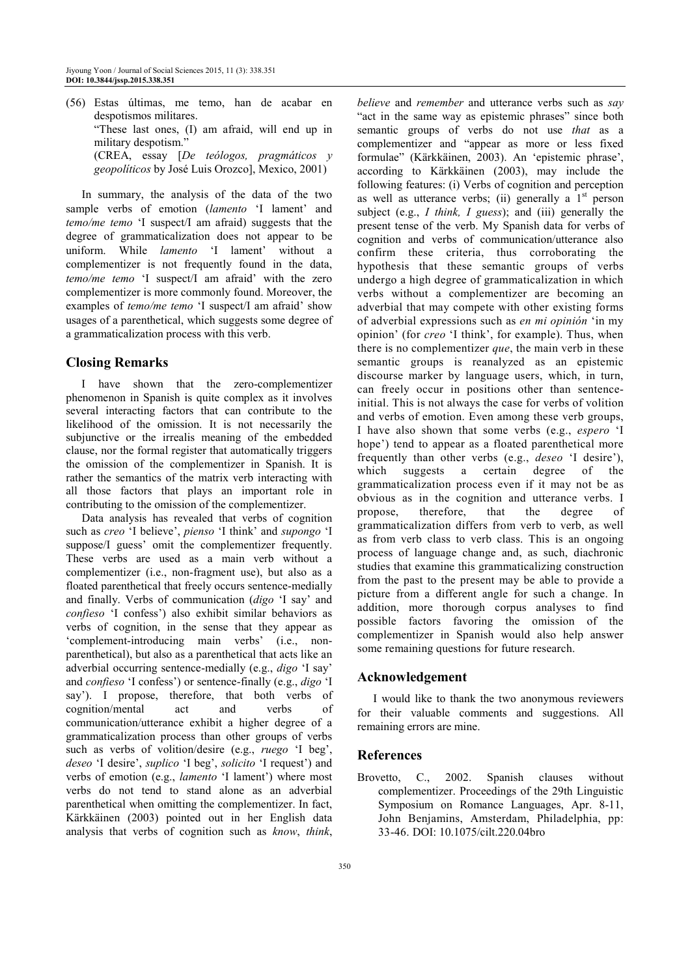(56) Estas últimas, me temo, han de acabar en despotismos militares. "These last ones, (I) am afraid, will end up in military despotism.' (CREA, essay [*De teólogos, pragmáticos y geopolíticos* by José Luis Orozco], Mexico, 2001)

In summary, the analysis of the data of the two sample verbs of emotion (*lamento* 'I lament' and *temo/me temo* 'I suspect/I am afraid) suggests that the degree of grammaticalization does not appear to be uniform. While *lamento* 'I lament' without a complementizer is not frequently found in the data, *temo/me temo* 'I suspect/I am afraid' with the zero complementizer is more commonly found. Moreover, the examples of *temo/me temo* 'I suspect/I am afraid' show usages of a parenthetical, which suggests some degree of a grammaticalization process with this verb.

# **Closing Remarks**

I have shown that the zero-complementizer phenomenon in Spanish is quite complex as it involves several interacting factors that can contribute to the likelihood of the omission. It is not necessarily the subjunctive or the irrealis meaning of the embedded clause, nor the formal register that automatically triggers the omission of the complementizer in Spanish. It is rather the semantics of the matrix verb interacting with all those factors that plays an important role in contributing to the omission of the complementizer.

Data analysis has revealed that verbs of cognition such as *creo* 'I believe', *pienso* 'I think' and *supongo* 'I suppose/I guess' omit the complementizer frequently. These verbs are used as a main verb without a complementizer (i.e., non-fragment use), but also as a floated parenthetical that freely occurs sentence-medially and finally. Verbs of communication (*digo* 'I say' and *confieso* 'I confess') also exhibit similar behaviors as verbs of cognition, in the sense that they appear as 'complement-introducing main verbs' (i.e., nonparenthetical), but also as a parenthetical that acts like an adverbial occurring sentence-medially (e.g., *digo* 'I say' and *confieso* 'I confess') or sentence-finally (e.g., *digo* 'I say'). I propose, therefore, that both verbs of cognition/mental act and verbs of communication/utterance exhibit a higher degree of a grammaticalization process than other groups of verbs such as verbs of volition/desire (e.g., *ruego* 'I beg', *deseo* 'I desire', *suplico* 'I beg', *solicito* 'I request') and verbs of emotion (e.g., *lamento* 'I lament') where most verbs do not tend to stand alone as an adverbial parenthetical when omitting the complementizer. In fact, Kärkkäinen (2003) pointed out in her English data analysis that verbs of cognition such as *know*, *think*,

*believe* and *remember* and utterance verbs such as *say* "act in the same way as epistemic phrases" since both semantic groups of verbs do not use *that* as a complementizer and "appear as more or less fixed formulae" (Kärkkäinen, 2003). An 'epistemic phrase', according to Kärkkäinen (2003), may include the following features: (i) Verbs of cognition and perception as well as utterance verbs; (ii) generally a  $1<sup>st</sup>$  person subject (e.g., *I think, I guess*); and (iii) generally the present tense of the verb. My Spanish data for verbs of cognition and verbs of communication/utterance also confirm these criteria, thus corroborating the hypothesis that these semantic groups of verbs undergo a high degree of grammaticalization in which verbs without a complementizer are becoming an adverbial that may compete with other existing forms of adverbial expressions such as *en mi opinión* 'in my opinion' (for *creo* 'I think', for example). Thus, when there is no complementizer *que*, the main verb in these semantic groups is reanalyzed as an epistemic discourse marker by language users, which, in turn, can freely occur in positions other than sentenceinitial. This is not always the case for verbs of volition and verbs of emotion. Even among these verb groups, I have also shown that some verbs (e.g., *espero* 'I hope') tend to appear as a floated parenthetical more frequently than other verbs (e.g., *deseo* 'I desire'), which suggests a certain degree of the grammaticalization process even if it may not be as obvious as in the cognition and utterance verbs. I propose, therefore, that the degree of grammaticalization differs from verb to verb, as well as from verb class to verb class. This is an ongoing process of language change and, as such, diachronic studies that examine this grammaticalizing construction from the past to the present may be able to provide a picture from a different angle for such a change. In addition, more thorough corpus analyses to find possible factors favoring the omission of the complementizer in Spanish would also help answer some remaining questions for future research.

## **Acknowledgement**

I would like to thank the two anonymous reviewers for their valuable comments and suggestions. All remaining errors are mine.

## **References**

Brovetto, C., 2002. Spanish clauses without complementizer. Proceedings of the 29th Linguistic Symposium on Romance Languages, Apr. 8-11, John Benjamins, Amsterdam, Philadelphia, pp: 33-46. DOI: 10.1075/cilt.220.04bro